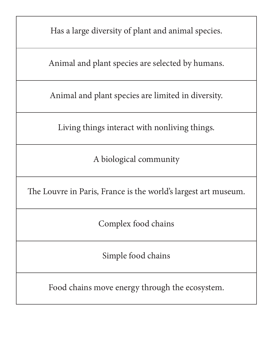Has a large diversity of plant and animal species.

Animal and plant species are selected by humans.

Animal and plant species are limited in diversity.

Living things interact with nonliving things.

A biological community

The Louvre in Paris, France is the world's largest art museum.

Complex food chains

Simple food chains

Food chains move energy through the ecosystem.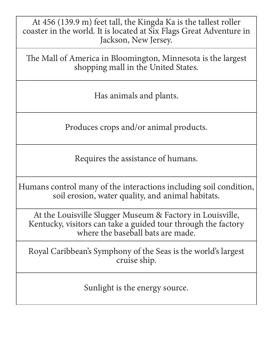At 456 (139.9 m) feet tall, the Kingda Ka is the tallest roller coaster in the world. It is located at Six Flags Great Adventure in Jackson, New Jersey.

The Mall of America in Bloomington, Minnesota is the largest shopping mall in the United States.

Has animals and plants.

Produces crops and/or animal products.

Requires the assistance of humans.

Humans control many of the interactions including soil condition, soil erosion, water quality, and animal habitats.

At the Louisville Slugger Museum & Factory in Louisville, Kentucky, visitors can take a guided tour through the factory where the baseball bats are made.

Royal Caribbean's Symphony of the Seas is the world's largest cruise ship.

Sunlight is the energy source.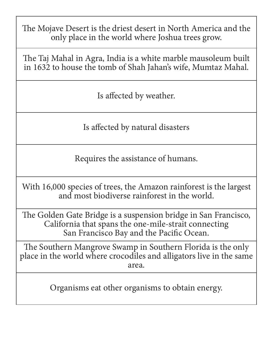The Mojave Desert is the driest desert in North America and the only place in the world where Joshua trees grow.

The Taj Mahal in Agra, India is a white marble mausoleum built in 1632 to house the tomb of Shah Jahan's wife, Mumtaz Mahal.

Is affected by weather.

Is affected by natural disasters

Requires the assistance of humans.

With 16,000 species of trees, the Amazon rainforest is the largest and most biodiverse rainforest in the world.

The Golden Gate Bridge is a suspension bridge in San Francisco, California that spans the one-mile-strait connecting San Francisco Bay and the Pacific Ocean.

The Southern Mangrove Swamp in Southern Florida is the only place in the world where crocodiles and alligators live in the same area.

Organisms eat other organisms to obtain energy.